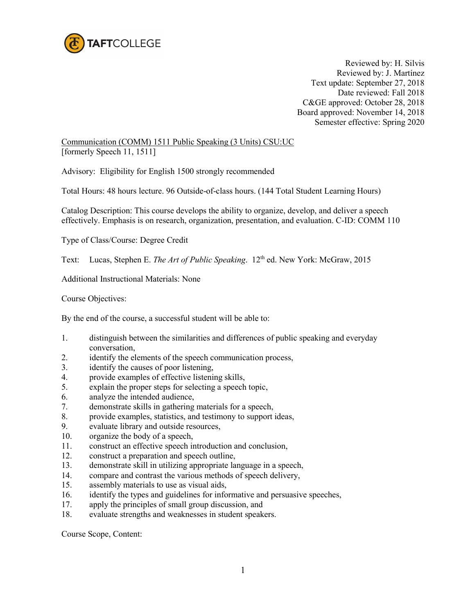

Reviewed by: H. Silvis Reviewed by: J. Martínez Text update: September 27, 2018 Date reviewed: Fall 2018 C&GE approved: October 28, 2018 Board approved: November 14, 2018 Semester effective: Spring 2020

Communication (COMM) 1511 Public Speaking (3 Units) CSU:UC [formerly Speech 11, 1511]

Advisory: Eligibility for English 1500 strongly recommended

Total Hours: 48 hours lecture. 96 Outside-of-class hours. (144 Total Student Learning Hours)

Catalog Description: This course develops the ability to organize, develop, and deliver a speech effectively. Emphasis is on research, organization, presentation, and evaluation. C-ID: COMM 110

Type of Class/Course: Degree Credit

Text: Lucas, Stephen E. *The Art of Public Speaking*. 12<sup>th</sup> ed. New York: McGraw, 2015

Additional Instructional Materials: None

Course Objectives:

By the end of the course, a successful student will be able to:

- 1. distinguish between the similarities and differences of public speaking and everyday conversation,
- 2. identify the elements of the speech communication process,
- 3. identify the causes of poor listening,
- 4. provide examples of effective listening skills,
- 5. explain the proper steps for selecting a speech topic,
- 6. analyze the intended audience,
- 7. demonstrate skills in gathering materials for a speech,
- 8. provide examples, statistics, and testimony to support ideas,
- 9. evaluate library and outside resources,
- 10. organize the body of a speech,
- 11. construct an effective speech introduction and conclusion,
- 12. construct a preparation and speech outline,
- 13. demonstrate skill in utilizing appropriate language in a speech,
- 14. compare and contrast the various methods of speech delivery,
- 15. assembly materials to use as visual aids,
- 16. identify the types and guidelines for informative and persuasive speeches,
- 17. apply the principles of small group discussion, and
- 18. evaluate strengths and weaknesses in student speakers.

Course Scope, Content: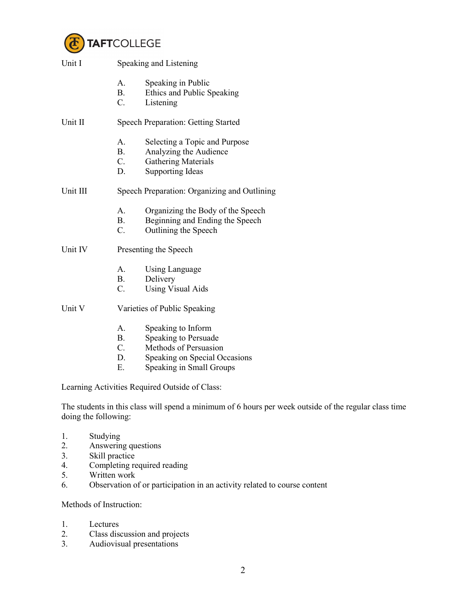

| Unit I   | Speaking and Listening                     |                                                                                                                                  |
|----------|--------------------------------------------|----------------------------------------------------------------------------------------------------------------------------------|
|          | А.<br><b>B.</b><br>$C_{\cdot}$             | Speaking in Public<br>Ethics and Public Speaking<br>Listening                                                                    |
| Unit II  | <b>Speech Preparation: Getting Started</b> |                                                                                                                                  |
|          | A.<br><b>B</b> .<br>$C_{\cdot}$<br>D.      | Selecting a Topic and Purpose<br>Analyzing the Audience<br><b>Gathering Materials</b><br><b>Supporting Ideas</b>                 |
| Unit III |                                            | Speech Preparation: Organizing and Outlining                                                                                     |
|          | A.<br>$B_{-}$<br>C.                        | Organizing the Body of the Speech<br>Beginning and Ending the Speech<br>Outlining the Speech                                     |
| Unit IV  | Presenting the Speech                      |                                                                                                                                  |
|          | A.<br><b>B.</b><br>$\mathcal{C}$ .         | <b>Using Language</b><br>Delivery<br><b>Using Visual Aids</b>                                                                    |
| Unit V   | Varieties of Public Speaking               |                                                                                                                                  |
|          | A.<br><b>B.</b><br>$C_{\cdot}$<br>D.<br>E. | Speaking to Inform<br>Speaking to Persuade<br>Methods of Persuasion<br>Speaking on Special Occasions<br>Speaking in Small Groups |
|          |                                            | Learning Activities Required Outside of Class:                                                                                   |

The students in this class will spend a minimum of 6 hours per week outside of the regular class time doing the following:

- 1. Studying<br>2. Answerin
- Answering questions
- 3. Skill practice
- 4. Completing required reading<br>5. Written work
- 5. Written work
- 6. Observation of or participation in an activity related to course content

## Methods of Instruction:

- 1. Lectures<br>2. Class dise
- 2. Class discussion and projects<br>3. Audiovisual presentations
- Audiovisual presentations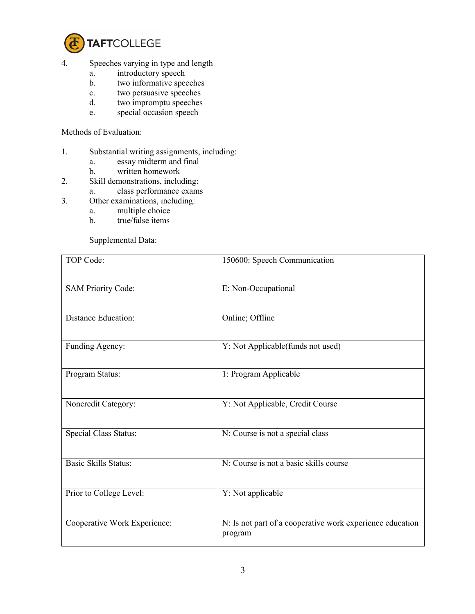

- 4. Speeches varying in type and length
	- a. introductory speech
	- b. two informative speeches
	- c. two persuasive speeches<br>d. two impromptu speeches
	- two impromptu speeches
	- e. special occasion speech

Methods of Evaluation:

- 1. Substantial writing assignments, including:
	- a. essay midterm and final
	- b. written homework
- 2. Skill demonstrations, including:
	- a. class performance exams
- 3. Other examinations, including:
	- a. multiple choice
	- b. true/false items

Supplemental Data:

| TOP Code:                    | 150600: Speech Communication                                         |
|------------------------------|----------------------------------------------------------------------|
| <b>SAM Priority Code:</b>    | E: Non-Occupational                                                  |
| Distance Education:          | Online; Offline                                                      |
| Funding Agency:              | Y: Not Applicable(funds not used)                                    |
| Program Status:              | 1: Program Applicable                                                |
| Noncredit Category:          | Y: Not Applicable, Credit Course                                     |
| Special Class Status:        | N: Course is not a special class                                     |
| <b>Basic Skills Status:</b>  | N: Course is not a basic skills course                               |
| Prior to College Level:      | Y: Not applicable                                                    |
| Cooperative Work Experience: | N: Is not part of a cooperative work experience education<br>program |